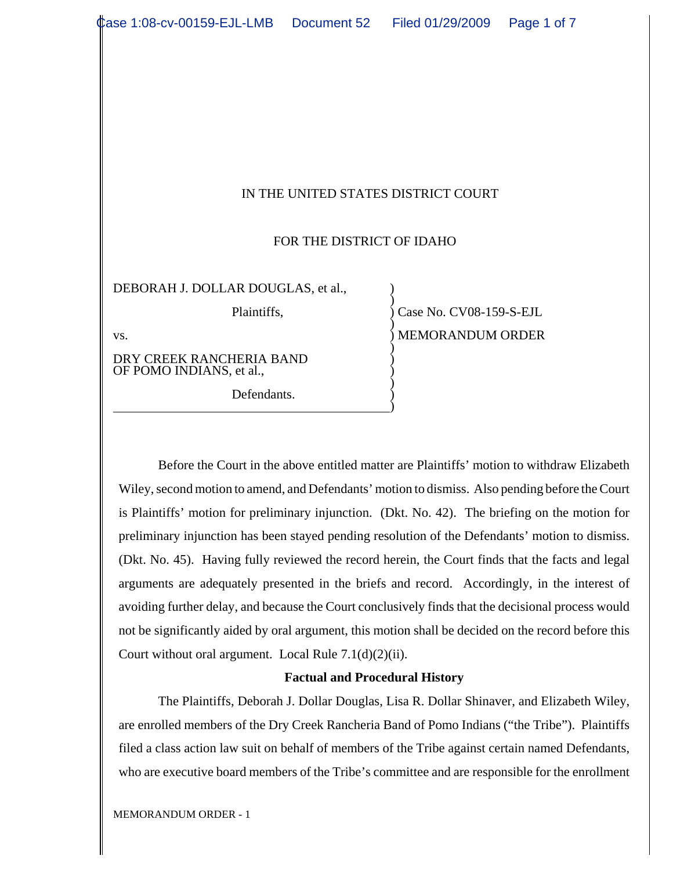| Case 1:08-cv-00159-EJL-LMB  Document 52  Filed 01/29/2009 |  |                         | Page 1 of 7 |
|-----------------------------------------------------------|--|-------------------------|-------------|
|                                                           |  |                         |             |
|                                                           |  |                         |             |
|                                                           |  |                         |             |
|                                                           |  |                         |             |
|                                                           |  |                         |             |
|                                                           |  |                         |             |
|                                                           |  |                         |             |
| IN THE UNITED STATES DISTRICT COURT                       |  |                         |             |
|                                                           |  |                         |             |
| FOR THE DISTRICT OF IDAHO                                 |  |                         |             |
|                                                           |  |                         |             |
| DEBORAH J. DOLLAR DOUGLAS, et al.,                        |  |                         |             |
| Plaintiffs,                                               |  | Case No. CV08-159-S-EJL |             |
| VS.                                                       |  | <b>MEMORANDUM ORDER</b> |             |
| DRY CREEK RANCHERIA BAND<br>OF POMO INDIANS, et al.,      |  |                         |             |
| Defendants.                                               |  |                         |             |

Before the Court in the above entitled matter are Plaintiffs' motion to withdraw Elizabeth Wiley, second motion to amend, and Defendants' motion to dismiss. Also pending before the Court is Plaintiffs' motion for preliminary injunction. (Dkt. No. 42). The briefing on the motion for preliminary injunction has been stayed pending resolution of the Defendants' motion to dismiss. (Dkt. No. 45). Having fully reviewed the record herein, the Court finds that the facts and legal arguments are adequately presented in the briefs and record. Accordingly, in the interest of avoiding further delay, and because the Court conclusively finds that the decisional process would not be significantly aided by oral argument, this motion shall be decided on the record before this Court without oral argument. Local Rule  $7.1(d)(2)(ii)$ .

### **Factual and Procedural History**

The Plaintiffs, Deborah J. Dollar Douglas, Lisa R. Dollar Shinaver, and Elizabeth Wiley, are enrolled members of the Dry Creek Rancheria Band of Pomo Indians ("the Tribe"). Plaintiffs filed a class action law suit on behalf of members of the Tribe against certain named Defendants, who are executive board members of the Tribe's committee and are responsible for the enrollment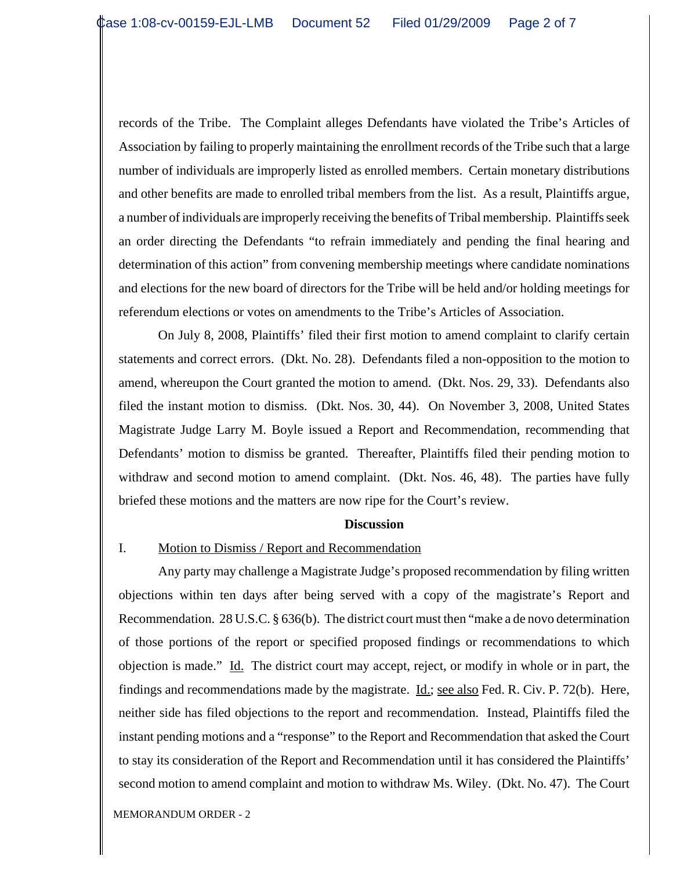records of the Tribe. The Complaint alleges Defendants have violated the Tribe's Articles of Association by failing to properly maintaining the enrollment records of the Tribe such that a large number of individuals are improperly listed as enrolled members. Certain monetary distributions and other benefits are made to enrolled tribal members from the list. As a result, Plaintiffs argue, a number of individuals are improperly receiving the benefits of Tribal membership. Plaintiffs seek an order directing the Defendants "to refrain immediately and pending the final hearing and determination of this action" from convening membership meetings where candidate nominations and elections for the new board of directors for the Tribe will be held and/or holding meetings for referendum elections or votes on amendments to the Tribe's Articles of Association.

On July 8, 2008, Plaintiffs' filed their first motion to amend complaint to clarify certain statements and correct errors. (Dkt. No. 28). Defendants filed a non-opposition to the motion to amend, whereupon the Court granted the motion to amend. (Dkt. Nos. 29, 33). Defendants also filed the instant motion to dismiss. (Dkt. Nos. 30, 44). On November 3, 2008, United States Magistrate Judge Larry M. Boyle issued a Report and Recommendation, recommending that Defendants' motion to dismiss be granted. Thereafter, Plaintiffs filed their pending motion to withdraw and second motion to amend complaint. (Dkt. Nos. 46, 48). The parties have fully briefed these motions and the matters are now ripe for the Court's review.

#### **Discussion**

#### I. Motion to Dismiss / Report and Recommendation

Any party may challenge a Magistrate Judge's proposed recommendation by filing written objections within ten days after being served with a copy of the magistrate's Report and Recommendation. 28 U.S.C. § 636(b). The district court must then "make a de novo determination of those portions of the report or specified proposed findings or recommendations to which objection is made." Id. The district court may accept, reject, or modify in whole or in part, the findings and recommendations made by the magistrate. Id.; see also Fed. R. Civ. P. 72(b). Here, neither side has filed objections to the report and recommendation. Instead, Plaintiffs filed the instant pending motions and a "response" to the Report and Recommendation that asked the Court to stay its consideration of the Report and Recommendation until it has considered the Plaintiffs' second motion to amend complaint and motion to withdraw Ms. Wiley. (Dkt. No. 47). The Court

MEMORANDUM ORDER - 2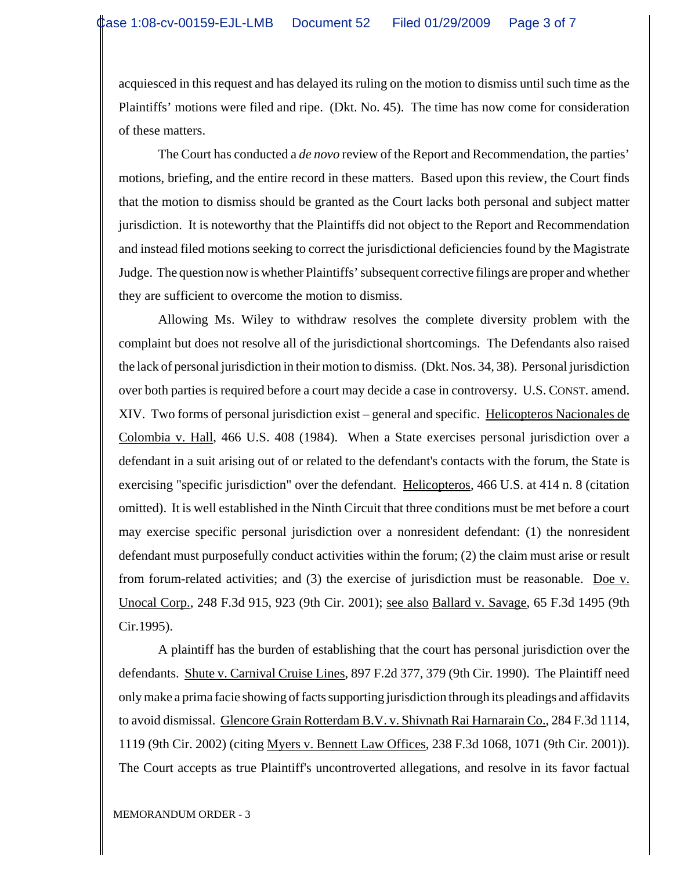acquiesced in this request and has delayed its ruling on the motion to dismiss until such time as the Plaintiffs' motions were filed and ripe. (Dkt. No. 45). The time has now come for consideration of these matters.

The Court has conducted a *de novo* review of the Report and Recommendation, the parties' motions, briefing, and the entire record in these matters. Based upon this review, the Court finds that the motion to dismiss should be granted as the Court lacks both personal and subject matter jurisdiction. It is noteworthy that the Plaintiffs did not object to the Report and Recommendation and instead filed motions seeking to correct the jurisdictional deficiencies found by the Magistrate Judge. The question now is whether Plaintiffs' subsequent corrective filings are proper and whether they are sufficient to overcome the motion to dismiss.

Allowing Ms. Wiley to withdraw resolves the complete diversity problem with the complaint but does not resolve all of the jurisdictional shortcomings. The Defendants also raised the lack of personal jurisdiction in their motion to dismiss. (Dkt. Nos. 34, 38). Personal jurisdiction over both parties is required before a court may decide a case in controversy. U.S. CONST. amend. XIV. Two forms of personal jurisdiction exist – general and specific. Helicopteros Nacionales de Colombia v. Hall, 466 U.S. 408 (1984). When a State exercises personal jurisdiction over a defendant in a suit arising out of or related to the defendant's contacts with the forum, the State is exercising "specific jurisdiction" over the defendant. Helicopteros, 466 U.S. at 414 n. 8 (citation omitted). It is well established in the Ninth Circuit that three conditions must be met before a court may exercise specific personal jurisdiction over a nonresident defendant: (1) the nonresident defendant must purposefully conduct activities within the forum; (2) the claim must arise or result from forum-related activities; and (3) the exercise of jurisdiction must be reasonable. Doe v. Unocal Corp., 248 F.3d 915, 923 (9th Cir. 2001); see also Ballard v. Savage, 65 F.3d 1495 (9th Cir.1995).

A plaintiff has the burden of establishing that the court has personal jurisdiction over the defendants. Shute v. Carnival Cruise Lines, 897 F.2d 377, 379 (9th Cir. 1990). The Plaintiff need only make a prima facie showing of facts supporting jurisdiction through its pleadings and affidavits to avoid dismissal. Glencore Grain Rotterdam B.V. v. Shivnath Rai Harnarain Co., 284 F.3d 1114, 1119 (9th Cir. 2002) (citing Myers v. Bennett Law Offices, 238 F.3d 1068, 1071 (9th Cir. 2001)). The Court accepts as true Plaintiff's uncontroverted allegations, and resolve in its favor factual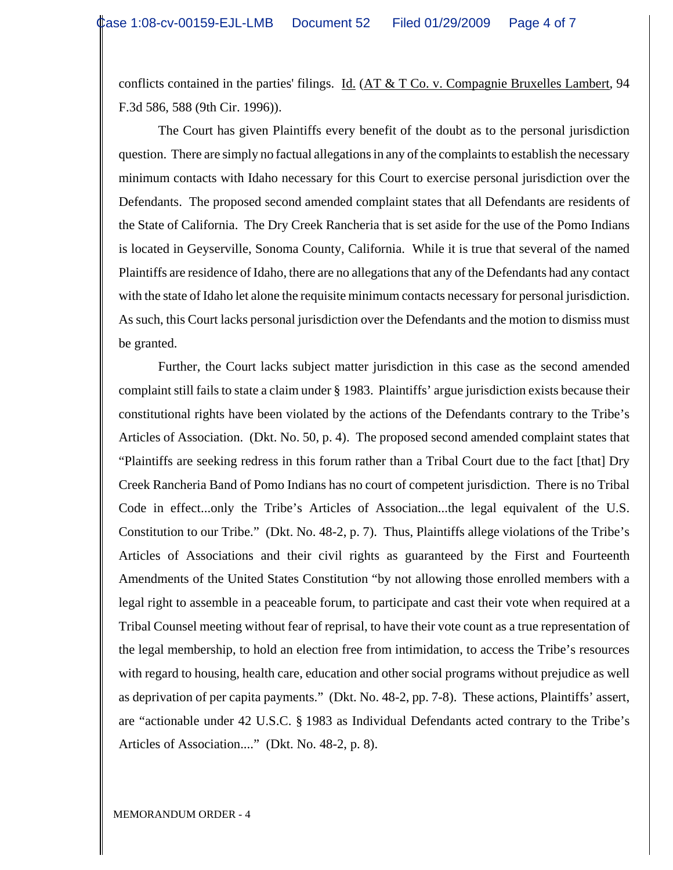conflicts contained in the parties' filings. Id. (AT & T Co. v. Compagnie Bruxelles Lambert, 94 F.3d 586, 588 (9th Cir. 1996)).

The Court has given Plaintiffs every benefit of the doubt as to the personal jurisdiction question. There are simply no factual allegations in any of the complaints to establish the necessary minimum contacts with Idaho necessary for this Court to exercise personal jurisdiction over the Defendants. The proposed second amended complaint states that all Defendants are residents of the State of California. The Dry Creek Rancheria that is set aside for the use of the Pomo Indians is located in Geyserville, Sonoma County, California. While it is true that several of the named Plaintiffs are residence of Idaho, there are no allegations that any of the Defendants had any contact with the state of Idaho let alone the requisite minimum contacts necessary for personal jurisdiction. As such, this Court lacks personal jurisdiction over the Defendants and the motion to dismiss must be granted.

Further, the Court lacks subject matter jurisdiction in this case as the second amended complaint still fails to state a claim under § 1983. Plaintiffs' argue jurisdiction exists because their constitutional rights have been violated by the actions of the Defendants contrary to the Tribe's Articles of Association. (Dkt. No. 50, p. 4). The proposed second amended complaint states that "Plaintiffs are seeking redress in this forum rather than a Tribal Court due to the fact [that] Dry Creek Rancheria Band of Pomo Indians has no court of competent jurisdiction. There is no Tribal Code in effect...only the Tribe's Articles of Association...the legal equivalent of the U.S. Constitution to our Tribe." (Dkt. No. 48-2, p. 7). Thus, Plaintiffs allege violations of the Tribe's Articles of Associations and their civil rights as guaranteed by the First and Fourteenth Amendments of the United States Constitution "by not allowing those enrolled members with a legal right to assemble in a peaceable forum, to participate and cast their vote when required at a Tribal Counsel meeting without fear of reprisal, to have their vote count as a true representation of the legal membership, to hold an election free from intimidation, to access the Tribe's resources with regard to housing, health care, education and other social programs without prejudice as well as deprivation of per capita payments." (Dkt. No. 48-2, pp. 7-8). These actions, Plaintiffs' assert, are "actionable under 42 U.S.C. § 1983 as Individual Defendants acted contrary to the Tribe's Articles of Association...." (Dkt. No. 48-2, p. 8).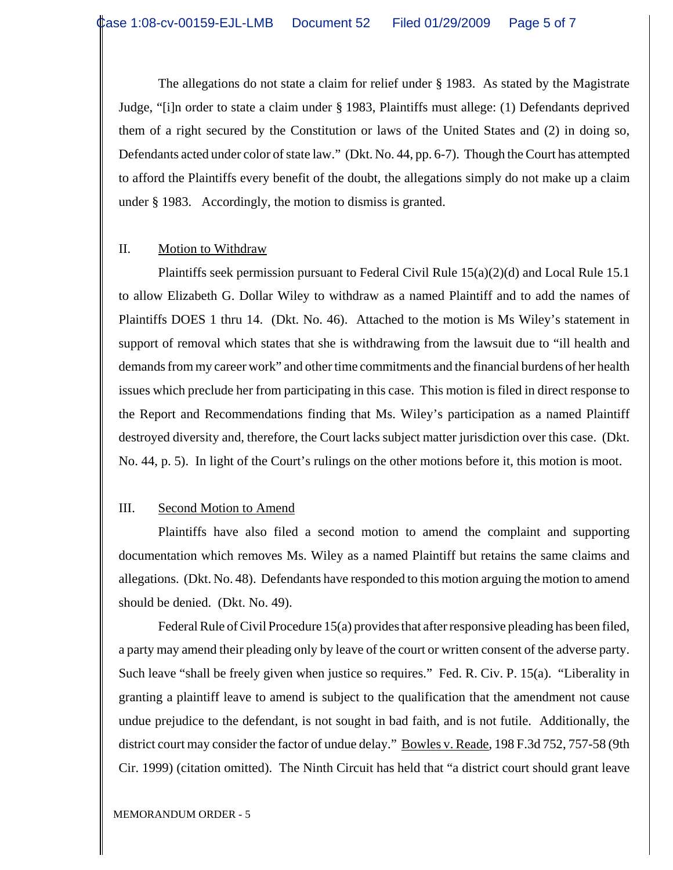The allegations do not state a claim for relief under § 1983. As stated by the Magistrate Judge, "[i]n order to state a claim under § 1983, Plaintiffs must allege: (1) Defendants deprived them of a right secured by the Constitution or laws of the United States and (2) in doing so, Defendants acted under color of state law." (Dkt. No. 44, pp. 6-7). Though the Court has attempted to afford the Plaintiffs every benefit of the doubt, the allegations simply do not make up a claim under § 1983. Accordingly, the motion to dismiss is granted.

## II. Motion to Withdraw

Plaintiffs seek permission pursuant to Federal Civil Rule 15(a)(2)(d) and Local Rule 15.1 to allow Elizabeth G. Dollar Wiley to withdraw as a named Plaintiff and to add the names of Plaintiffs DOES 1 thru 14. (Dkt. No. 46). Attached to the motion is Ms Wiley's statement in support of removal which states that she is withdrawing from the lawsuit due to "ill health and demands from my career work" and other time commitments and the financial burdens of her health issues which preclude her from participating in this case. This motion is filed in direct response to the Report and Recommendations finding that Ms. Wiley's participation as a named Plaintiff destroyed diversity and, therefore, the Court lacks subject matter jurisdiction over this case. (Dkt. No. 44, p. 5). In light of the Court's rulings on the other motions before it, this motion is moot.

### III. Second Motion to Amend

Plaintiffs have also filed a second motion to amend the complaint and supporting documentation which removes Ms. Wiley as a named Plaintiff but retains the same claims and allegations. (Dkt. No. 48). Defendants have responded to this motion arguing the motion to amend should be denied. (Dkt. No. 49).

Federal Rule of Civil Procedure 15(a) provides that after responsive pleading has been filed, a party may amend their pleading only by leave of the court or written consent of the adverse party. Such leave "shall be freely given when justice so requires." Fed. R. Civ. P. 15(a). "Liberality in granting a plaintiff leave to amend is subject to the qualification that the amendment not cause undue prejudice to the defendant, is not sought in bad faith, and is not futile. Additionally, the district court may consider the factor of undue delay." Bowles v. Reade, 198 F.3d 752, 757-58 (9th Cir. 1999) (citation omitted). The Ninth Circuit has held that "a district court should grant leave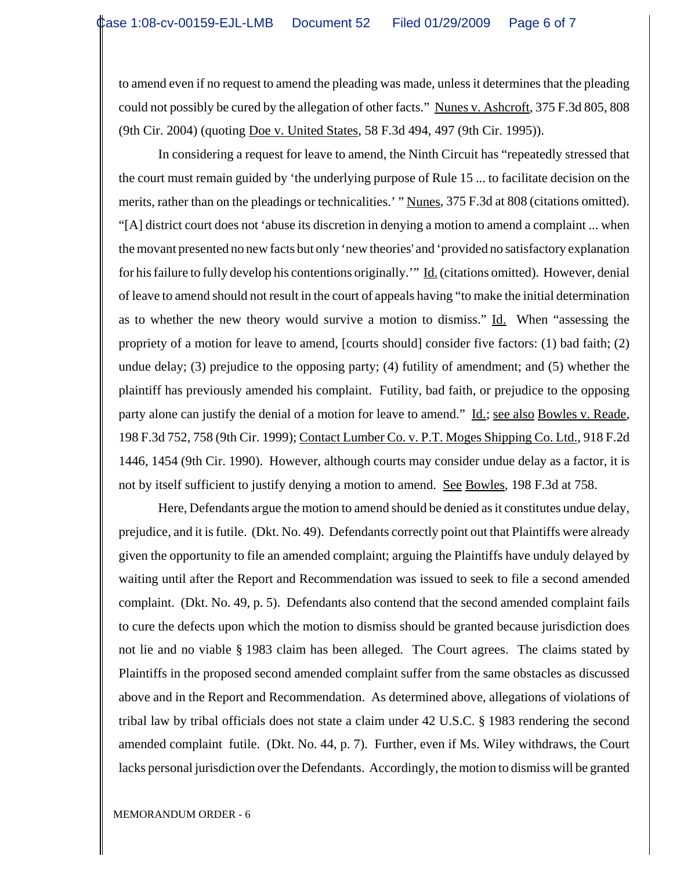to amend even if no request to amend the pleading was made, unless it determines that the pleading could not possibly be cured by the allegation of other facts." Nunes v. Ashcroft, 375 F.3d 805, 808 (9th Cir. 2004) (quoting Doe v. United States, 58 F.3d 494, 497 (9th Cir. 1995)).

In considering a request for leave to amend, the Ninth Circuit has "repeatedly stressed that the court must remain guided by 'the underlying purpose of Rule 15 ... to facilitate decision on the merits, rather than on the pleadings or technicalities.' " Nunes, 375 F.3d at 808 (citations omitted). "[A] district court does not 'abuse its discretion in denying a motion to amend a complaint ... when the movant presented no new facts but only 'new theories' and 'provided no satisfactory explanation for his failure to fully develop his contentions originally." Id. (citations omitted). However, denial of leave to amend should not result in the court of appeals having "to make the initial determination as to whether the new theory would survive a motion to dismiss." Id. When "assessing the propriety of a motion for leave to amend, [courts should] consider five factors: (1) bad faith; (2) undue delay; (3) prejudice to the opposing party; (4) futility of amendment; and (5) whether the plaintiff has previously amended his complaint. Futility, bad faith, or prejudice to the opposing party alone can justify the denial of a motion for leave to amend." Id.; see also Bowles v. Reade, 198 F.3d 752, 758 (9th Cir. 1999); Contact Lumber Co. v. P.T. Moges Shipping Co. Ltd., 918 F.2d 1446, 1454 (9th Cir. 1990). However, although courts may consider undue delay as a factor, it is not by itself sufficient to justify denying a motion to amend. See Bowles, 198 F.3d at 758.

Here, Defendants argue the motion to amend should be denied as it constitutes undue delay, prejudice, and it is futile. (Dkt. No. 49). Defendants correctly point out that Plaintiffs were already given the opportunity to file an amended complaint; arguing the Plaintiffs have unduly delayed by waiting until after the Report and Recommendation was issued to seek to file a second amended complaint. (Dkt. No. 49, p. 5). Defendants also contend that the second amended complaint fails to cure the defects upon which the motion to dismiss should be granted because jurisdiction does not lie and no viable § 1983 claim has been alleged. The Court agrees. The claims stated by Plaintiffs in the proposed second amended complaint suffer from the same obstacles as discussed above and in the Report and Recommendation. As determined above, allegations of violations of tribal law by tribal officials does not state a claim under 42 U.S.C. § 1983 rendering the second amended complaint futile. (Dkt. No. 44, p. 7). Further, even if Ms. Wiley withdraws, the Court lacks personal jurisdiction over the Defendants. Accordingly, the motion to dismiss will be granted